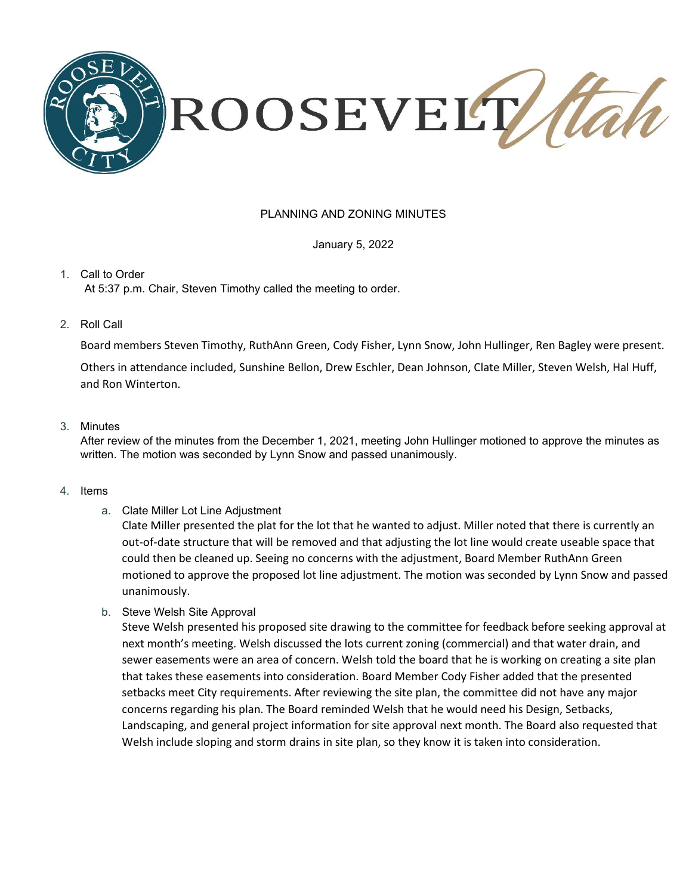

### PLANNING AND ZONING MINUTES

January 5, 2022

1. Call to Order At 5:37 p.m. Chair, Steven Timothy called the meeting to order.

2. Roll Call

Board members Steven Timothy, RuthAnn Green, Cody Fisher, Lynn Snow, John Hullinger, Ren Bagley were present.

Others in attendance included, Sunshine Bellon, Drew Eschler, Dean Johnson, Clate Miller, Steven Welsh, Hal Huff, and Ron Winterton.

### 3. Minutes

After review of the minutes from the December 1, 2021, meeting John Hullinger motioned to approve the minutes as written. The motion was seconded by Lynn Snow and passed unanimously.

#### 4. Items

a. Clate Miller Lot Line Adjustment

Clate Miller presented the plat for the lot that he wanted to adjust. Miller noted that there is currently an out-of-date structure that will be removed and that adjusting the lot line would create useable space that could then be cleaned up. Seeing no concerns with the adjustment, Board Member RuthAnn Green motioned to approve the proposed lot line adjustment. The motion was seconded by Lynn Snow and passed unanimously.

b. Steve Welsh Site Approval

Steve Welsh presented his proposed site drawing to the committee for feedback before seeking approval at next month's meeting. Welsh discussed the lots current zoning (commercial) and that water drain, and sewer easements were an area of concern. Welsh told the board that he is working on creating a site plan that takes these easements into consideration. Board Member Cody Fisher added that the presented setbacks meet City requirements. After reviewing the site plan, the committee did not have any major concerns regarding his plan. The Board reminded Welsh that he would need his Design, Setbacks, Landscaping, and general project information for site approval next month. The Board also requested that Welsh include sloping and storm drains in site plan, so they know it is taken into consideration.